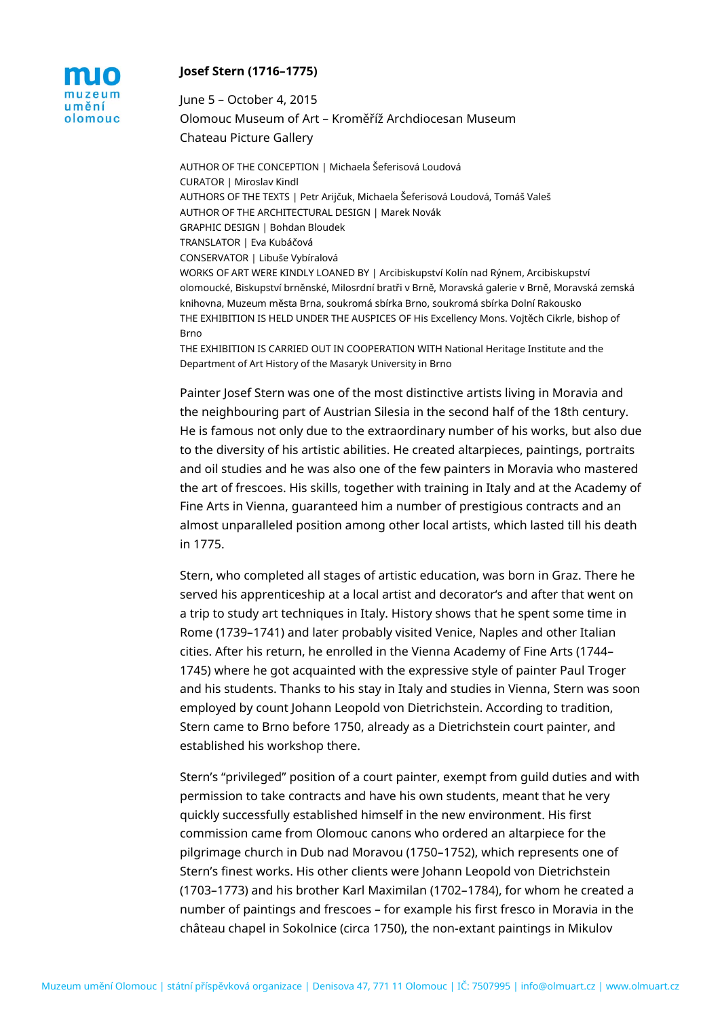

## **Josef Stern (1716–1775)**

June 5 – October 4, 2015 Olomouc Museum of Art – Kroměříž Archdiocesan Museum Chateau Picture Gallery

AUTHOR OF THE CONCEPTION | Michaela Šeferisová Loudová CURATOR | Miroslav Kindl AUTHORS OF THE TEXTS | Petr Arijčuk, Michaela Šeferisová Loudová, Tomáš Valeš AUTHOR OF THE ARCHITECTURAL DESIGN | Marek Novák GRAPHIC DESIGN | Bohdan Bloudek TRANSLATOR | Eva Kubáčová CONSERVATOR | Libuše Vybíralová WORKS OF ART WERE KINDLY LOANED BY | Arcibiskupství Kolín nad Rýnem, Arcibiskupství olomoucké, Biskupství brněnské, Milosrdní bratři v Brně, Moravská galerie v Brně, Moravská zemská knihovna, Muzeum města Brna, soukromá sbírka Brno, soukromá sbírka Dolní Rakousko THE EXHIBITION IS HELD UNDER THE AUSPICES OF His Excellency Mons. Vojtěch Cikrle, bishop of Brno

THE EXHIBITION IS CARRIED OUT IN COOPERATION WITH National Heritage Institute and the Department of Art History of the Masaryk University in Brno

Painter Josef Stern was one of the most distinctive artists living in Moravia and the neighbouring part of Austrian Silesia in the second half of the 18th century. He is famous not only due to the extraordinary number of his works, but also due to the diversity of his artistic abilities. He created altarpieces, paintings, portraits and oil studies and he was also one of the few painters in Moravia who mastered the art of frescoes. His skills, together with training in Italy and at the Academy of Fine Arts in Vienna, guaranteed him a number of prestigious contracts and an almost unparalleled position among other local artists, which lasted till his death in 1775.

Stern, who completed all stages of artistic education, was born in Graz. There he served his apprenticeship at a local artist and decorator's and after that went on a trip to study art techniques in Italy. History shows that he spent some time in Rome (1739–1741) and later probably visited Venice, Naples and other Italian cities. After his return, he enrolled in the Vienna Academy of Fine Arts (1744– 1745) where he got acquainted with the expressive style of painter Paul Troger and his students. Thanks to his stay in Italy and studies in Vienna, Stern was soon employed by count Johann Leopold von Dietrichstein. According to tradition, Stern came to Brno before 1750, already as a Dietrichstein court painter, and established his workshop there.

Stern's "privileged" position of a court painter, exempt from guild duties and with permission to take contracts and have his own students, meant that he very quickly successfully established himself in the new environment. His first commission came from Olomouc canons who ordered an altarpiece for the pilgrimage church in Dub nad Moravou (1750–1752), which represents one of Stern's finest works. His other clients were Johann Leopold von Dietrichstein (1703–1773) and his brother Karl Maximilan (1702–1784), for whom he created a number of paintings and frescoes – for example his first fresco in Moravia in the château chapel in Sokolnice (circa 1750), the non-extant paintings in Mikulov